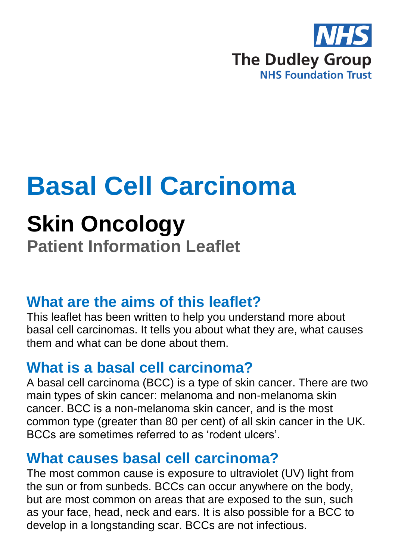

# **Basal Cell Carcinoma**

## **Skin Oncology**

**Patient Information Leaflet**

#### **What are the aims of this leaflet?**

This leaflet has been written to help you understand more about basal cell carcinomas. It tells you about what they are, what causes them and what can be done about them.

## **What is a basal cell carcinoma?**

A basal cell carcinoma (BCC) is a type of skin cancer. There are two main types of skin cancer: melanoma and non-melanoma skin cancer. BCC is a non-melanoma skin cancer, and is the most common type (greater than 80 per cent) of all skin cancer in the UK. BCCs are sometimes referred to as 'rodent ulcers'.

#### **What causes basal cell carcinoma?**

The most common cause is exposure to ultraviolet (UV) light from the sun or from sunbeds. BCCs can occur anywhere on the body, but are most common on areas that are exposed to the sun, such as your face, head, neck and ears. It is also possible for a BCC to develop in a longstanding scar. BCCs are not infectious.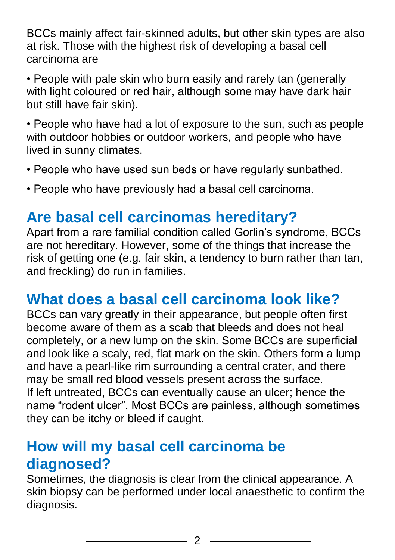BCCs mainly affect fair-skinned adults, but other skin types are also at risk. Those with the highest risk of developing a basal cell carcinoma are

• People with pale skin who burn easily and rarely tan (generally with light coloured or red hair, although some may have dark hair but still have fair skin).

• People who have had a lot of exposure to the sun, such as people with outdoor hobbies or outdoor workers, and people who have lived in sunny climates.

- People who have used sun beds or have regularly sunbathed.
- People who have previously had a basal cell carcinoma.

### **Are basal cell carcinomas hereditary?**

Apart from a rare familial condition called Gorlin's syndrome, BCCs are not hereditary. However, some of the things that increase the risk of getting one (e.g. fair skin, a tendency to burn rather than tan, and freckling) do run in families.

#### **What does a basal cell carcinoma look like?**

BCCs can vary greatly in their appearance, but people often first become aware of them as a scab that bleeds and does not heal completely, or a new lump on the skin. Some BCCs are superficial and look like a scaly, red, flat mark on the skin. Others form a lump and have a pearl-like rim surrounding a central crater, and there may be small red blood vessels present across the surface. If left untreated, BCCs can eventually cause an ulcer; hence the name "rodent ulcer". Most BCCs are painless, although sometimes they can be itchy or bleed if caught.

#### **How will my basal cell carcinoma be diagnosed?**

Sometimes, the diagnosis is clear from the clinical appearance. A skin biopsy can be performed under local anaesthetic to confirm the diagnosis.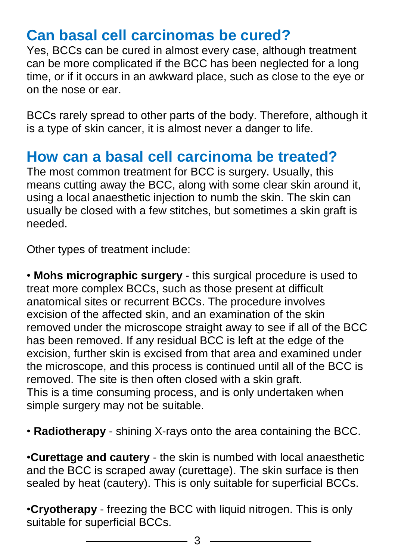#### **Can basal cell carcinomas be cured?**

Yes, BCCs can be cured in almost every case, although treatment can be more complicated if the BCC has been neglected for a long time, or if it occurs in an awkward place, such as close to the eye or on the nose or ear.

BCCs rarely spread to other parts of the body. Therefore, although it is a type of skin cancer, it is almost never a danger to life.

#### **How can a basal cell carcinoma be treated?**

The most common treatment for BCC is surgery. Usually, this means cutting away the BCC, along with some clear skin around it, using a local anaesthetic injection to numb the skin. The skin can usually be closed with a few stitches, but sometimes a skin graft is needed.

Other types of treatment include:

• **Mohs micrographic surgery** - this surgical procedure is used to treat more complex BCCs, such as those present at difficult anatomical sites or recurrent BCCs. The procedure involves excision of the affected skin, and an examination of the skin removed under the microscope straight away to see if all of the BCC has been removed. If any residual BCC is left at the edge of the excision, further skin is excised from that area and examined under the microscope, and this process is continued until all of the BCC is removed. The site is then often closed with a skin graft. This is a time consuming process, and is only undertaken when simple surgery may not be suitable.

• **Radiotherapy** - shining X-rays onto the area containing the BCC.

*•***Curettage and cautery** - the skin is numbed with local anaesthetic and the BCC is scraped away (curettage). The skin surface is then sealed by heat (cautery). This is only suitable for superficial BCCs.

*•***Cryotherapy** - freezing the BCC with liquid nitrogen. This is only suitable for superficial BCCs.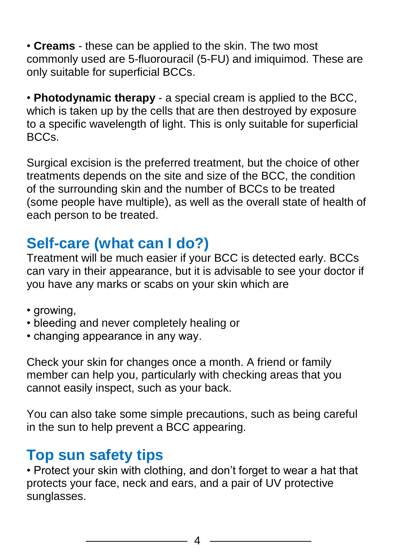*•* **Creams** - these can be applied to the skin. The two most commonly used are 5-fluorouracil (5-FU) and imiquimod. These are only suitable for superficial BCCs.

*•* **Photodynamic therapy** - a special cream is applied to the BCC, which is taken up by the cells that are then destroyed by exposure to a specific wavelength of light. This is only suitable for superficial BCCs.

Surgical excision is the preferred treatment, but the choice of other treatments depends on the site and size of the BCC, the condition of the surrounding skin and the number of BCCs to be treated (some people have multiple), as well as the overall state of health of each person to be treated.

## **Self-care (what can I do?)**

Treatment will be much easier if your BCC is detected early. BCCs can vary in their appearance, but it is advisable to see your doctor if you have any marks or scabs on your skin which are

- growing,
- bleeding and never completely healing or
- changing appearance in any way.

Check your skin for changes once a month. A friend or family member can help you, particularly with checking areas that you cannot easily inspect, such as your back.

You can also take some simple precautions, such as being careful in the sun to help prevent a BCC appearing.

#### **Top sun safety tips**

• Protect your skin with clothing, and don't forget to wear a hat that protects your face, neck and ears, and a pair of UV protective sunglasses.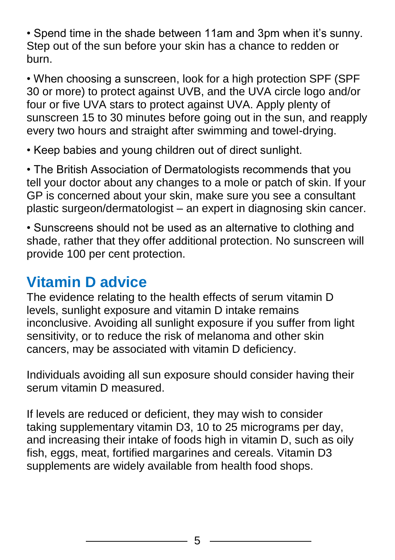• Spend time in the shade between 11am and 3pm when it's sunny. Step out of the sun before your skin has a chance to redden or burn.

• When choosing a sunscreen, look for a high protection SPF (SPF 30 or more) to protect against UVB, and the UVA circle logo and/or four or five UVA stars to protect against UVA. Apply plenty of sunscreen 15 to 30 minutes before going out in the sun, and reapply every two hours and straight after swimming and towel-drying.

• Keep babies and young children out of direct sunlight.

• The British Association of Dermatologists recommends that you tell your doctor about any changes to a mole or patch of skin. If your GP is concerned about your skin, make sure you see a consultant plastic surgeon/dermatologist – an expert in diagnosing skin cancer.

• Sunscreens should not be used as an alternative to clothing and shade, rather that they offer additional protection. No sunscreen will provide 100 per cent protection.

#### **Vitamin D advice**

The evidence relating to the health effects of serum vitamin D levels, sunlight exposure and vitamin D intake remains inconclusive. Avoiding all sunlight exposure if you suffer from light sensitivity, or to reduce the risk of melanoma and other skin cancers, may be associated with vitamin D deficiency.

Individuals avoiding all sun exposure should consider having their serum vitamin D measured.

If levels are reduced or deficient, they may wish to consider taking supplementary vitamin D3, 10 to 25 micrograms per day, and increasing their intake of foods high in vitamin D, such as oily fish, eggs, meat, fortified margarines and cereals. Vitamin D3 supplements are widely available from health food shops.